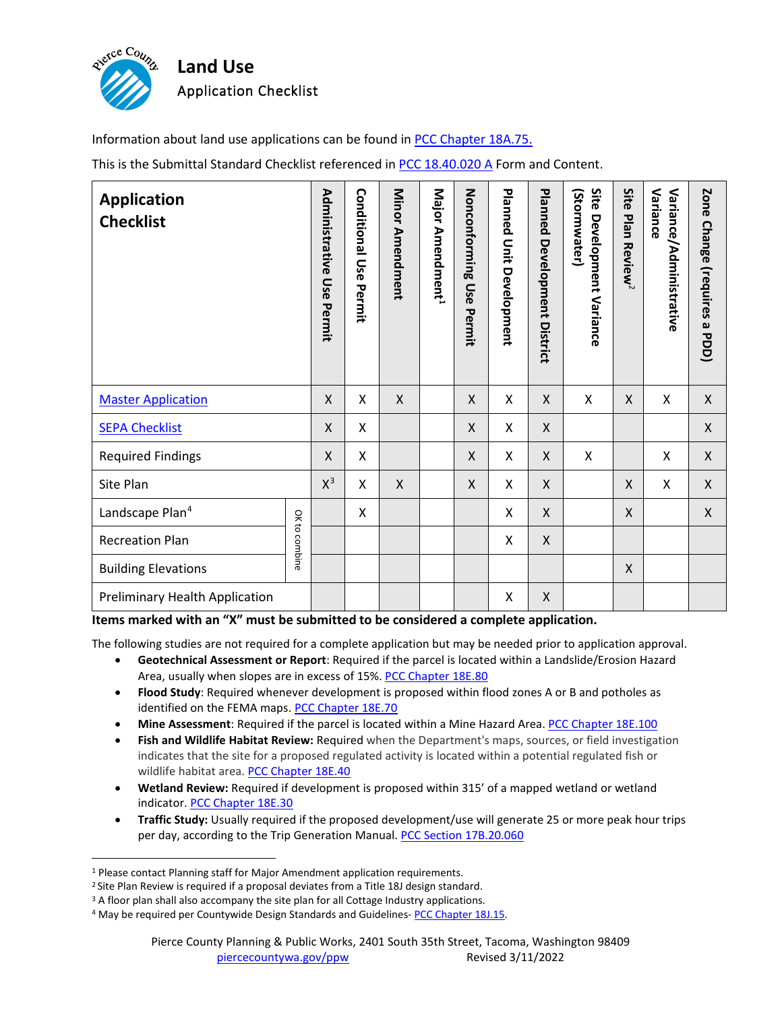

Information about land use applications can be found in [PCC Chapter 18A.75.](http://www.codepublishing.com/WA/PierceCounty/#!/PierceCounty18A/PierceCounty18A75.html)

This is the Submittal Standard Checklist referenced in [PCC 18.40.020 A](http://www.codepublishing.com/WA/PierceCounty/#!/PierceCounty18/PierceCounty1840.html) Form and Content.

| <b>Application</b><br><b>Checklist</b> |               | Administrative<br>Use<br>Permit | <b>Conditional Use</b><br>Permit | Minor Amendment | Major Amendment <sup>1</sup> | Nonconforming<br>Use<br>Permit | Planned<br>Unit Development | <b>Planned</b><br><b>Development</b><br>District | Site<br>(Stormwater)<br><b>Development Variance</b> | Site<br>Plan<br>Review <sup>2</sup> | Variance<br>Variance/Administrative | Zone<br>Change (requires a PDD) |
|----------------------------------------|---------------|---------------------------------|----------------------------------|-----------------|------------------------------|--------------------------------|-----------------------------|--------------------------------------------------|-----------------------------------------------------|-------------------------------------|-------------------------------------|---------------------------------|
| <b>Master Application</b>              |               | X                               | Χ                                | $\mathsf{X}$    |                              | X                              | X                           | X                                                | X                                                   | X                                   | X                                   | $\boldsymbol{\mathsf{X}}$       |
| <b>SEPA Checklist</b>                  |               | X                               | Χ                                |                 |                              | X                              | X                           | X                                                |                                                     |                                     |                                     | X                               |
| <b>Required Findings</b>               |               | Χ                               | Χ                                |                 |                              | X                              | X                           | X                                                | X                                                   |                                     | X                                   | $\boldsymbol{\mathsf{X}}$       |
| Site Plan                              |               | $X^3$                           | Χ                                | $\mathsf{X}$    |                              | X                              | X                           | X                                                |                                                     | X                                   | X                                   | X                               |
| Landscape Plan <sup>4</sup>            | OK to combine |                                 | X                                |                 |                              |                                | X                           | X                                                |                                                     | X                                   |                                     | X                               |
| <b>Recreation Plan</b>                 |               |                                 |                                  |                 |                              |                                | X                           | X                                                |                                                     |                                     |                                     |                                 |
| <b>Building Elevations</b>             |               |                                 |                                  |                 |                              |                                |                             |                                                  |                                                     | X                                   |                                     |                                 |
| Preliminary Health Application         |               |                                 |                                  |                 |                              |                                | X                           | X                                                |                                                     |                                     |                                     |                                 |

**Items marked with an "X" must be submitted to be considered a complete application.**

The following studies are not required for a complete application but may be needed prior to application approval.

- **Geotechnical Assessment or Report**: Required if the parcel is located within a Landslide/Erosion Hazard Area, usually when slopes are in excess of 15%[. PCC Chapter 18E.80](http://www.codepublishing.com/WA/PierceCounty/#!/PierceCounty18E/PierceCounty18E80.html)
- **Flood Study**: Required whenever development is proposed within flood zones A or B and potholes as identified on the FEMA maps[. PCC Chapter 18E.70](http://www.codepublishing.com/WA/PierceCounty/#!/PierceCounty18E/PierceCounty18E70.html)
- **Mine Assessment**: Required if the parcel is located within a Mine Hazard Area[. PCC Chapter 18E.100](http://www.codepublishing.com/WA/PierceCounty/#!/PierceCounty18E/PierceCounty18E100.html)
- **Fish and Wildlife Habitat Review:** Required when the Department's maps, sources, or field investigation indicates that the site for a proposed regulated activity is located within a potential regulated fish or wildlife habitat area. [PCC Chapter 18E.40](http://www.codepublishing.com/WA/PierceCounty/#!/PierceCounty18E/PierceCounty18E40.html)
- **Wetland Review:** Required if development is proposed within 315' of a mapped wetland or wetland indicator. [PCC Chapter 18E.30](http://www.codepublishing.com/WA/PierceCounty/#!/PierceCounty18E/PierceCounty18E30.html)
- **Traffic Study:** Usually required if the proposed development/use will generate 25 or more peak hour trips per day, according to the Trip Generation Manual. [PCC Section 17B.20.060](http://www.codepublishing.com/WA/PierceCounty/#!/PierceCounty17B/PierceCounty17B20.html)

<span id="page-0-1"></span><span id="page-0-0"></span><sup>&</sup>lt;sup>1</sup> Please contact Planning staff for Major Amendment application requirements.<br><sup>2</sup> Site Plan Review is required if a proposal deviates from [a Title 18J](http://www.codepublishing.com/WA/PierceCounty/#!/html/PierceCounty18J/PierceCounty18J.html) design standard.

<span id="page-0-2"></span><sup>&</sup>lt;sup>3</sup> A floor plan shall also accompany the site plan for all Cottage Industry applications.

<span id="page-0-3"></span><sup>&</sup>lt;sup>4</sup> May be required per Countywide Design Standards and Guidelines- [PCC Chapter 18J.15.](http://www.codepublishing.com/WA/PierceCounty/#!/PierceCounty18J/PierceCounty18J15.html)